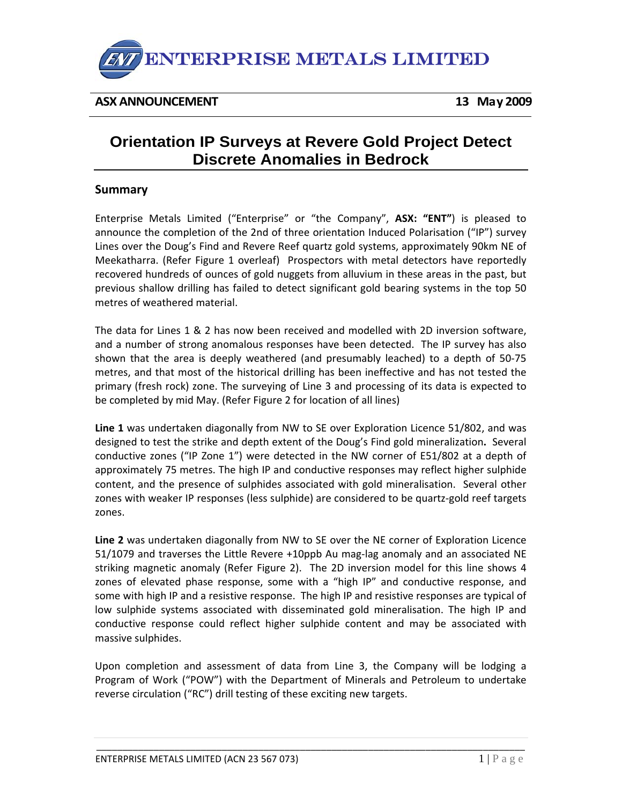

**ASX ANNOUNCEMENT 13 May 2009**

# **Orientation IP Surveys at Revere Gold Project Detect Discrete Anomalies in Bedrock**

## **Summary**

Enterprise Metals Limited ("Enterprise" or "the Company", **ASX: "ENT"**) is pleased to announce the completion of the 2nd of three orientation Induced Polarisation ("IP") survey Lines over the Doug's Find and Revere Reef quartz gold systems, approximately 90km NE of Meekatharra. (Refer Figure 1 overleaf) Prospectors with metal detectors have reportedly recovered hundreds of ounces of gold nuggets from alluvium in these areas in the past, but previous shallow drilling has failed to detect significant gold bearing systems in the top 50 metres of weathered material.

The data for Lines 1 & 2 has now been received and modelled with 2D inversion software, and a number of strong anomalous responses have been detected. The IP survey has also shown that the area is deeply weathered (and presumably leached) to a depth of 50‐75 metres, and that most of the historical drilling has been ineffective and has not tested the primary (fresh rock) zone. The surveying of Line 3 and processing of its data is expected to be completed by mid May. (Refer Figure 2 for location of all lines)

**Line 1** was undertaken diagonally from NW to SE over Exploration Licence 51/802, and was designed to test the strike and depth extent of the Doug's Find gold mineralization**.** Several conductive zones ("IP Zone 1") were detected in the NW corner of E51/802 at a depth of approximately 75 metres. The high IP and conductive responses may reflect higher sulphide content, and the presence of sulphides associated with gold mineralisation. Several other zones with weaker IP responses (less sulphide) are considered to be quartz‐gold reef targets zones.

**Line 2** was undertaken diagonally from NW to SE over the NE corner of Exploration Licence 51/1079 and traverses the Little Revere +10ppb Au mag-lag anomaly and an associated NE striking magnetic anomaly (Refer Figure 2). The 2D inversion model for this line shows 4 zones of elevated phase response, some with a "high IP" and conductive response, and some with high IP and a resistive response. The high IP and resistive responses are typical of low sulphide systems associated with disseminated gold mineralisation. The high IP and conductive response could reflect higher sulphide content and may be associated with massive sulphides.

Upon completion and assessment of data from Line 3, the Company will be lodging a Program of Work ("POW") with the Department of Minerals and Petroleum to undertake reverse circulation ("RC") drill testing of these exciting new targets.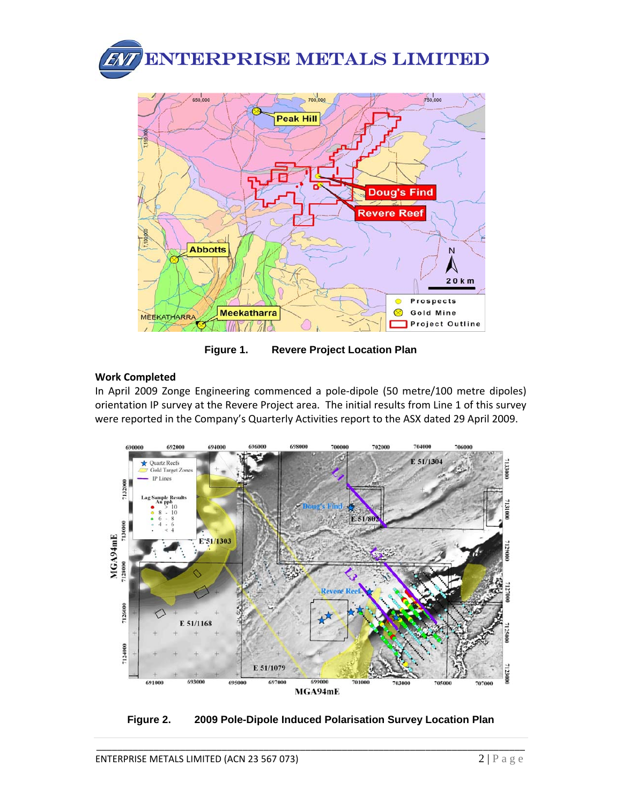

**Figure 1. Revere Project Location Plan** 

# **Work Completed**

In April 2009 Zonge Engineering commenced a pole‐dipole (50 metre/100 metre dipoles) orientation IP survey at the Revere Project area. The initial results from Line 1 of this survey were reported in the Company's Quarterly Activities report to the ASX dated 29 April 2009.



**Figure 2. 2009 Pole-Dipole Induced Polarisation Survey Location Plan**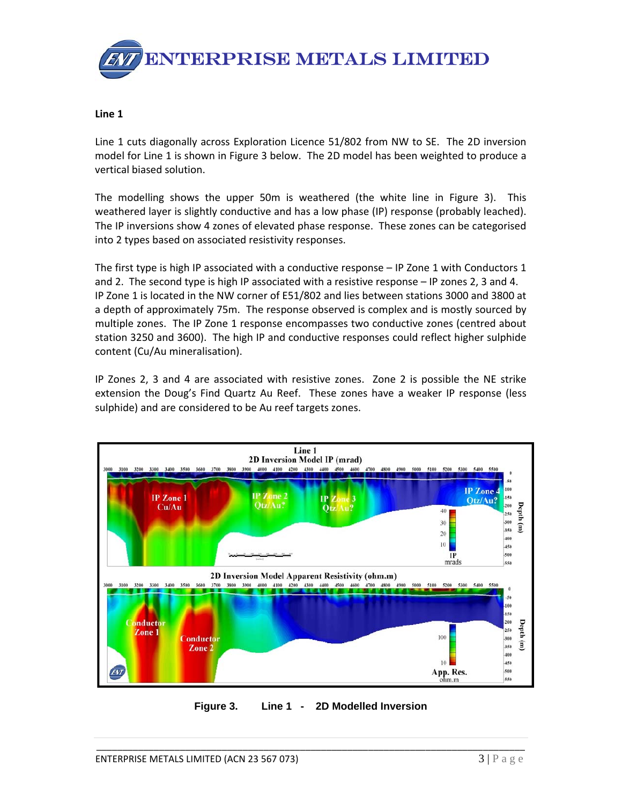

#### **Line 1**

Line 1 cuts diagonally across Exploration Licence 51/802 from NW to SE. The 2D inversion model for Line 1 is shown in Figure 3 below. The 2D model has been weighted to produce a vertical biased solution.

The modelling shows the upper 50m is weathered (the white line in Figure 3). This weathered layer is slightly conductive and has a low phase (IP) response (probably leached). The IP inversions show 4 zones of elevated phase response. These zones can be categorised into 2 types based on associated resistivity responses.

The first type is high IP associated with a conductive response – IP Zone 1 with Conductors 1 and 2. The second type is high IP associated with a resistive response – IP zones 2, 3 and 4. IP Zone 1 is located in the NW corner of E51/802 and lies between stations 3000 and 3800 at a depth of approximately 75m. The response observed is complex and is mostly sourced by multiple zones. The IP Zone 1 response encompasses two conductive zones (centred about station 3250 and 3600). The high IP and conductive responses could reflect higher sulphide content (Cu/Au mineralisation).

IP Zones 2, 3 and 4 are associated with resistive zones. Zone 2 is possible the NE strike extension the Doug's Find Quartz Au Reef. These zones have a weaker IP response (less sulphide) and are considered to be Au reef targets zones.



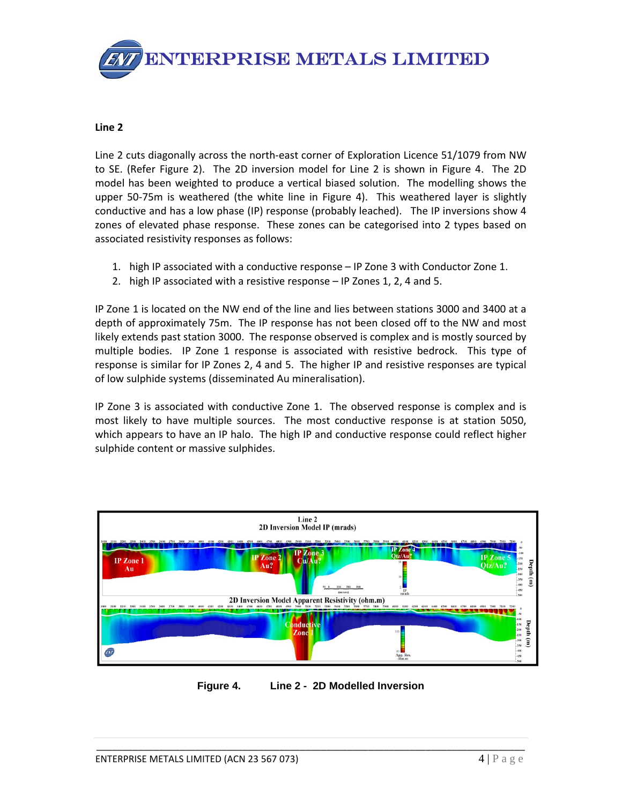

#### **Line 2**

Line 2 cuts diagonally across the north-east corner of Exploration Licence 51/1079 from NW to SE. (Refer Figure 2). The 2D inversion model for Line 2 is shown in Figure 4. The 2D model has been weighted to produce a vertical biased solution. The modelling shows the upper 50-75m is weathered (the white line in Figure 4). This weathered layer is slightly conductive and has a low phase (IP) response (probably leached). The IP inversions show 4 zones of elevated phase response. These zones can be categorised into 2 types based on associated resistivity responses as follows:

- 1. high IP associated with a conductive response IP Zone 3 with Conductor Zone 1.
- 2. high IP associated with a resistive response IP Zones 1, 2, 4 and 5.

IP Zone 1 is located on the NW end of the line and lies between stations 3000 and 3400 at a depth of approximately 75m. The IP response has not been closed off to the NW and most likely extends past station 3000. The response observed is complex and is mostly sourced by multiple bodies. IP Zone 1 response is associated with resistive bedrock. This type of response is similar for IP Zones 2, 4 and 5. The higher IP and resistive responses are typical of low sulphide systems (disseminated Au mineralisation).

IP Zone 3 is associated with conductive Zone 1. The observed response is complex and is most likely to have multiple sources. The most conductive response is at station 5050, which appears to have an IP halo. The high IP and conductive response could reflect higher sulphide content or massive sulphides.



**Figure 4. Line 2 - 2D Modelled Inversion**